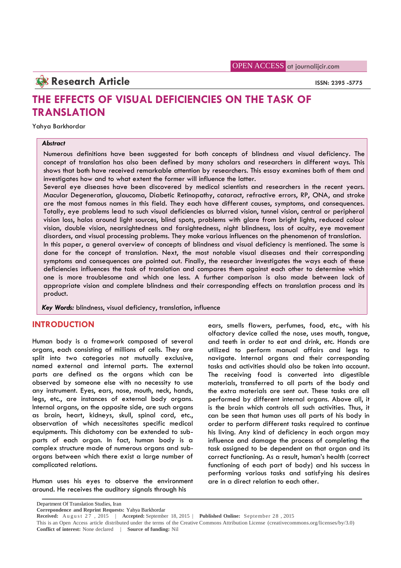OPEN ACCESS at journalijcir.com

**Research Article ISSN: 2395 -5775** 

# **THE EFFECTS OF VISUAL DEFICIENCIES ON THE TASK OF TRANSLATION**

Yahya Barkhordar

# *Abstract*

Numerous definitions have been suggested for both concepts of blindness and visual deficiency. The concept of translation has also been defined by many scholars and researchers in different ways. This shows that both have received remarkable attention by researchers. This essay examines both of them and investigates how and to what extent the former will influence the latter.

Several eye diseases have been discovered by medical scientists and researchers in the recent years. Macular Degeneration, glaucoma, Diabetic Retinopathy, cataract, refractive errors, RP, ONA, and stroke are the most famous names in this field. They each have different causes, symptoms, and consequences. Totally, eye problems lead to such visual deficiencies as blurred vision, tunnel vision, central or peripheral vision loss, halos around light sources, blind spots, problems with glare from bright lights, reduced colour vision, double vision, nearsightedness and farsightedness, night blindness, loss of acuity, eye movement disorders, and visual processing problems. They make various influences on the phenomenon of translation. In this paper, a general overview of concepts of blindness and visual deficiency is mentioned. The same is done for the concept of translation. Next, the most notable visual diseases and their corresponding symptoms and consequences are pointed out. Finally, the researcher investigates the ways each of these deficiencies influences the task of translation and compares them against each other to determine which one is more troublesome and which one less. A further comparison is also made between lack of appropriate vision and complete blindness and their corresponding effects on translation process and its product.

*Key Words:* blindness, visual deficiency, translation, influence

# **INTRODUCTION**

Human body is a framework composed of several organs, each consisting of millions of cells. They are split into two categories not mutually exclusive, named external and internal parts. The external parts are defined as the organs which can be observed by someone else with no necessity to use any instrument. Eyes, ears, nose, mouth, neck, hands, legs, etc., are instances of external body organs. Internal organs, on the opposite side, are such organs as brain, heart, kidneys, skull, spinal cord, etc., observation of which necessitates specific medical equipments. This dichotomy can be extended to sub parts of each organ. In fact, human body is a complex structure made of numerous organs and sub organs between which there exist a large number of complicated relations.

Human uses his eyes to observe the environment around. He receives the auditory signals through his

ears, smells flowers, perfumes, food, etc., with his olfactory device called the nose, uses mouth, tongue, and teeth in order to eat and drink, etc. Hands are utilized to perform manual affairs and legs to navigate. Internal organs and their corresponding tasks and activities should also be taken into account. The receiving food is converted into digestible materials, transferred to all parts of the body and the extra materials are sent out. These tasks are all performed by different internal organs. Above all, it is the brain which controls all such activities. Thus, it can be seen that human uses all parts of his body in order to perform different tasks required to continue his living. Any kind of deficiency in each organ may influence and damage the process of completing the task assigned to be dependent on that organ and its correct functioning. As a result, human's health (correct functioning of each part of body) and his success in performing various tasks and satisfying his desires are in a direct relation to each other.

**Correpondence and Reprint Requests:** Yahya Barkhordar

Department Of Translation Studies, Iran

**Received:** August  $27$ ,  $2015$  | **Accepted:** September 18, 2015 | **Published Online:** September 28, 2015 This is an Open Access article distributed under the terms of the Creative Commons Attribution License (creativecommons.org/licenses/by/3.0) **Conflict of interest:** None declared | **Source of funding:** Nil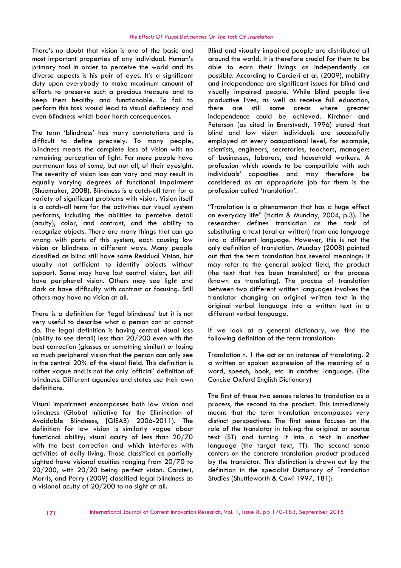There's no doubt that vision is one of the basic and most important properties of any individual. Human's primary tool in order to perceive the world and its diverse aspects is his pair of eyes. It's a significant duty upon everybody to make maximum amount of efforts to preserve such a precious treasure and to keep them healthy and functionable. To fail to perform this task would lead to visual deficiency and even blindness which bear harsh consequences.

The term 'blindness' has many connotations and is difficult to define precisely. To many people, blindness means the complete loss of vision with no remaining perception of light. Far more people have permanent loss of some, but not all, of their eyesight. The severity of vision loss can vary and may result in equally varying degrees of functional impairment (Shuemaker, 2008). Blindness is a catch-all term for a variety of significant problems with vision. Vision itself is a catch-all term for the activities our visual system performs, including the abilities to perceive detail (acuity), color, and contrast, and the ability to recognize objects. There are many things that can go wrong with parts of this system, each causing low vision or blindness in different ways. Many people classified as blind still have some Residual Vision, but usually not sufficient to identify objects without support. Some may have lost central vision, but still have peripheral vision. Others may see light and dark or have difficulty with contrast or focusing. Still others may have no vision at all.

There is a definition for 'legal blindness' but it is not very useful to describe what a person can or cannot do. The legal definition is having central visual loss (ability to see detail) less than 20/200 even with the best correction (glasses or something similar) or losing so much peripheral vision that the person can only see in the central 20% of the visual field. This definition is rather vague and is not the only 'official' definition of blindness. Different agencies and states use their own definitions.

Visual impairment encompasses both low vision and blindness (Global Initiative for the Elimination of Avoidable Blindness, [GIEAB) 2006-2011). The definition for low vision is similarly vague about functional ability; visual acuity of less than 20/70 with the best correction and which interferes with activities of daily living. Those classified as partially sighted have visional acuities ranging from 20/70 to 20/200, with 20/20 being perfect vision. Carcieri, Morris, and Perry (2009) classified legal blindness as a visional acuity of 20/200 to no sight at all.

Blind and visually impaired people are distributed all around the world. It is therefore crucial for them to be able to earn their livings as independently as possible. According to Carcieri et al. (2009), mobility and independence are significant issues for blind and visually impaired people. While blind people live productive lives, as well as receive full education, there are still some areas where greater independence could be achieved. Kirchner and Peterson (as cited in Enerstvedt, 1996) stated that blind and low vision individuals are successfully employed at every occupational level, for example, scientists, engineers, secretaries, teachers, managers of businesses, laborers, and household workers. A profession which sounds to be compatible with such individuals' capacities and may therefore be considered as an appropriate job for them is the profession called 'translation'.

"Translation is a phenomenon that has a huge effect on everyday life" (Hatim & Munday, 2004, p.3). The researcher defines translation as the task of substituting a text (oral or written) from one language into a different language. However, this is not the only definition of translation. Munday (2008) pointed out that the term translation has several meanings: it may refer to the general subject field, the product (the text that has been translated) or the process (known as translating). The process of translation between two different written languages involves the translator changing an original written text in the original verbal language into a written text in a different verbal language.

If we look at a general dictionary, we find the following definition of the term translation:

Translation n. 1 the act or an instance of translating. 2 a written or spoken expression of the meaning of a word, speech, book, etc. in another language. (The Concise Oxford English Dictionary)

The first of these two senses relates to translation as a process, the second to the product. This immediately means that the term translation encompasses very distinct perspectives. The first sense focuses on the role of the translator in taking the original or source text (ST) and turning it into a text in another language (the target text, TT). The second sense centers on the concrete translation product produced by the translator. This distinction is drawn out by the definition in the specialist Dictionary of Translation Studies (Shuttleworth & Cowi 1997, 181):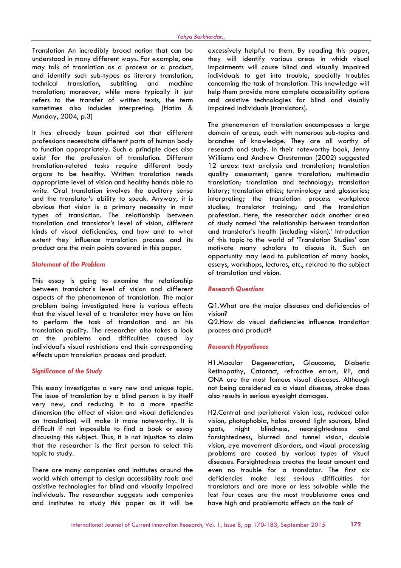Translation An incredibly broad notion that can be understood in many different ways. For example, one may talk of translation as a process or a product, and identify such sub-types as literary translation, technical translation, subtitling and machine translation; moreover, while more typically it just refers to the transfer of written texts, the term sometimes also includes interpreting. (Hatim & Munday, 2004, p.3)

It has already been pointed out that different professions necessitate different parts of human body to function appropriately. Such a principle does also exist for the profession of translation. Different translation-related tasks require different body organs to be healthy. Written translation needs appropriate level of vision and healthy hands able to write. Oral translation involves the auditory sense and the translator's ability to speak. Anyway, it is obvious that vision is a primary necessity in most types of translation. The relationship between translation and translator's level of vision, different kinds of visual deficiencies, and how and to what extent they influence translation process and its product are the main points covered in this paper.

#### *Statement of the Problem*

This essay is going to examine the relationship between translator's level of vision and different aspects of the phenomenon of translation. The major problem being investigated here is various effects that the visual level of a translator may have on him to perform the task of translation and on his translation quality. The researcher also takes a look at the problems and difficulties caused by individual's visual restrictions and their corresponding effects upon translation process and product.

# *Significance of the Study*

This essay investigates a very new and unique topic. The issue of translation by a blind person is by itself very new, and reducing it to a more specific dimension (the effect of vision and visual deficiencies on translation) will make it more noteworthy. It is difficult if not impossible to find a book or essay discussing this subject. Thus, it is not injustice to claim that the researcher is the first person to select this topic to study.

There are many companies and institutes around the world which attempt to design accessibility tools and assistive technologies for blind and visually impaired individuals. The researcher suggests such companies and institutes to study this paper as it will be

excessively helpful to them. By reading this paper, they will identify various areas in which visual impairments will cause blind and visually impaired individuals to get into trouble, specially troubles concerning the task of translation. This knowledge will help them provide more complete accessibility options and assistive technologies for blind and visually impaired individuals (translators).

The phenomenon of translation encompasses a large domain of areas, each with numerous sub-topics and branches of knowledge. They are all worthy of research and study. In their noteworthy book, Jenny Williams and Andrew Chesterman (2002) suggested 12 areas: text analysis and translation; translation quality assessment; genre translation; multimedia translation; translation and technology; translation history; translation ethics; terminology and glossaries; interpreting; the translation process workplace studies; translator training; and the translation profession. Here, the researcher adds another area of study named 'the relationship between translation and translator's health (including vision).' Introduction of this topic to the world of 'Translation Studies' can motivate many scholars to discuss it. Such an opportunity may lead to publication of many books, essays, workshops, lectures, etc., related to the subject of translation and vision.

# *Research Questions*

Q1.What are the major diseases and deficiencies of vision?

Q2.How do visual deficiencies influence translation process and product?

#### *Research Hypotheses*

H1.Macular Degeneration, Glaucoma, Diabetic Retinopathy, Cataract, refractive errors, RP, and ONA are the most famous visual diseases. Although not being considered as a visual disease, stroke does also results in serious eyesight damages.

H2.Central and peripheral vision loss, reduced color vision, photophobia, halos around light sources, blind night blindness, nearsightedness and farsightedness, blurred and tunnel vision, double vision, eye movement disorders, and visual processing problems are caused by various types of visual diseases. Farsightedness creates the least amount and even no trouble for a translator. The first six deficiencies make less serious difficulties for translators and are more or less solvable while the last four cases are the most troublesome ones and have high and problematic effects on the task of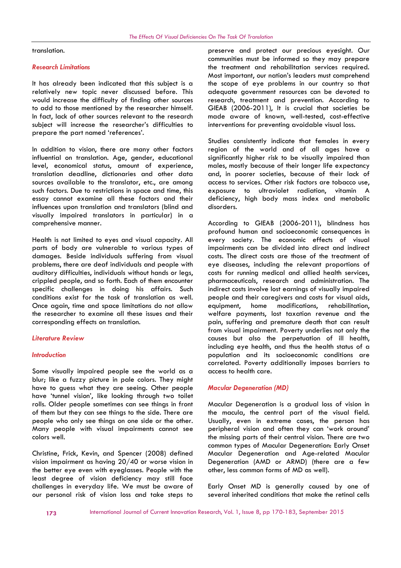translation.

#### *Research Limitations*

It has already been indicated that this subject is a relatively new topic never discussed before. This would increase the difficulty of finding other sources to add to those mentioned by the researcher himself. In fact, lack of other sources relevant to the research subject will increase the researcher's difficulties to prepare the part named 'references'.

In addition to vision, there are many other factors influential on translation. Age, gender, educational level, economical status, amount of experience, translation deadline, dictionaries and other data sources available to the translator, etc., are among such factors. Due to restrictions in space and time, this essay cannot examine all these factors and their influences upon translation and translators (blind and visually impaired translators in particular) in a comprehensive manner.

Health is not limited to eyes and visual capacity. All parts of body are vulnerable to various types of damages. Beside individuals suffering from visual problems, there are deaf individuals and people with auditory difficulties, individuals without hands or legs, crippled people, and so forth. Each of them encounter specific challenges in doing his affairs. Such conditions exist for the task of translation as well. Once again, time and space limitations do not allow equipment, the researcher to examine all these issues and their corresponding effects on translation.

#### *Literature Review*

### *Introduction*

Some visually impaired people see the world as a blur; like a fuzzy picture in pale colors. They might have to guess what they are seeing. Other people have 'tunnel vision', like looking through two toilet rolls. Older people sometimes can see things in front of them but they can see things to the side. There are people who only see things on one side or the other. Many people with visual impairments cannot see colors well.

Christine, Frick, Kevin, and Spencer (2008) defined vision impairment as having 20/40 or worse vision in the better eye even with eyeglasses. People with the least degree of vision deficiency may still face challenges in everyday life. We must be aware of our personal risk of vision loss and take steps to

preserve and protect our precious eyesight. Our communities must be informed so they may prepare the treatment and rehabilitation services required. Most important, our nation's leaders must comprehend the scope of eye problems in our country so that adequate government resources can be devoted to research, treatment and prevention. According to GIEAB (2006-2011), It is crucial that societies be made aware of known, well-tested, cost-effective interventions for preventing avoidable visual loss.

Studies consistently indicate that females in every region of the world and of all ages have a significantly higher risk to be visually impaired than males, mostly because of their longer life expectancy and, in poorer societies, because of their lack of access to services. Other risk factors are tobacco use, exposure to ultraviolet radiation, vitamin A deficiency, high body mass index and metabolic disorders.

According to GIEAB (2006-2011), blindness has profound human and socioeconomic consequences in every society. The economic effects of visual impairments can be divided into direct and indirect costs. The direct costs are those of the treatment of eye diseases, including the relevant proportions of costs for running medical and allied health services, pharmaceuticals, research and administration. The indirect costs involve lost earnings of visually impaired people and their caregivers and costs for visual aids, home modifications, rehabilitation, welfare payments, lost taxation revenue and the pain, suffering and premature death that can result from visual impairment. Poverty underlies not only the causes but also the perpetuation of ill health, including eye health, and thus the health status of a population and its socioeconomic conditions are correlated. Poverty additionally imposes barriers to access to health care.

#### *Macular Degeneration (MD)*

Macular Degeneration is a gradual loss of vision in the macula, the central part of the visual field. Usually, even in extreme cases, the person has peripheral vision and often they can 'work around' the missing parts of their central vision. There are two common types of Macular Degeneration: Early Onset Macular Degeneration and Age-related Macular Degeneration (AMD or ARMD) (there are a few other, less common forms of MD as well).

Early Onset MD is generally caused by one of several inherited conditions that make the retinal cells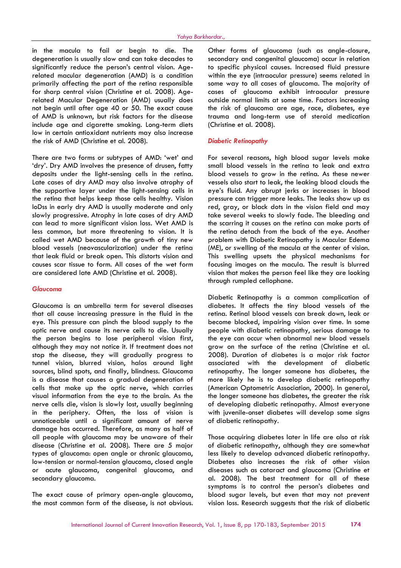in the macula to fail or begin to die. The degeneration is usually slow and can take decades to significantly reduce the person's central vision. Agerelated macular degeneration (AMD) is a condition primarily affecting the part of the retina responsible for sharp central vision (Christine et al. 2008). Agerelated Macular Degeneration (AMD) usually does not begin until after age 40 or 50. The exact cause of AMD is unknown, but risk factors for the disease include age and cigarette smoking. Long-term diets low in certain antioxidant nutrients may also increase the risk of AMD (Christine et al. 2008).

There are two forms or subtypes of AMD: 'wet' and 'dry'. Dry AMD involves the presence of drusen, fatty deposits under the light-sensing cells in the retina. Late cases of dry AMD may also involve atrophy of the supportive layer under the light-sensing cells in the retina that helps keep those cells healthy. Vision loDss in early dry AMD is usually moderate and only slowly progressive. Atrophy in late cases of dry AMD can lead to more significant vision loss. Wet AMD is less common, but more threatening to vision. It is called wet AMD because of the growth of tiny new blood vessels (neovascularization) under the retina that leak fluid or break open. This distorts vision and causes scar tissue to form. All cases of the wet form are considered late AMD (Christine et al. 2008).

# *Glaucoma*

Glaucoma is an umbrella term for several diseases that all cause increasing pressure in the fluid in the eye. This pressure can pinch the blood supply to the optic nerve and cause its nerve cells to die. Usually the person begins to lose peripheral vision first, although they may not notice it. If treatment does not stop the disease, they will gradually progress to tunnel vision, blurred vision, halos around light sources, blind spots, and finally, blindness. Glaucoma is a disease that causes a gradual degeneration of cells that make up the optic nerve, which carries visual information from the eye to the brain. As the nerve cells die, vision is slowly lost, usually beginning in the periphery. Often, the loss of vision is unnoticeable until a significant amount of nerve damage has occurred. Therefore, as many as half of all people with glaucoma may be unaware of their disease (Christine et al. 2008). There are 5 major types of glaucoma: open angle or chronic glaucoma, low-tension or normal-tension glaucoma, closed angle or acute glaucoma, congenital glaucoma, and secondary glaucoma.

The exact cause of primary open-angle glaucoma, the most common form of the disease, is not obvious.

Other forms of glaucoma (such as angle-closure, secondary and congenital glaucoma) occur in relation to specific physical causes. Increased fluid pressure within the eye (intraocular pressure) seems related in some way to all cases of glaucoma. The majority of cases of glaucoma exhibit intraocular pressure outside normal limits at some time. Factors increasing the risk of glaucoma are age, race, diabetes, eye trauma and long-term use of steroid medication (Christine et al. 2008).

# *Diabetic Retinopathy*

For several reasons, high blood sugar levels make small blood vessels in the retina to leak and extra blood vessels to grow in the retina. As these newer vessels also start to leak, the leaking blood clouds the eye's fluid. Any abrupt jerks or increases in blood pressure can trigger more leaks. The leaks show up as red, gray, or black dots in the vision field and may take several weeks to slowly fade. The bleeding and the scarring it causes on the retina can make parts of the retina detach from the back of the eye. Another problem with Diabetic Retinopathy is Macular Edema (ME), or swelling of the macula at the center of vision. This swelling upsets the physical mechanisms for focusing images on the macula. The result is blurred vision that makes the person feel like they are looking through rumpled cellophane.

Diabetic Retinopathy is a common complication of diabetes. It affects the tiny blood vessels of the retina. Retinal blood vessels can break down, leak or become blocked, impairing vision over time. In some people with diabetic retinopathy, serious damage to the eye can occur when abnormal new blood vessels grow on the surface of the retina (Christine et al. 2008). Duration of diabetes is a major risk factor associated with the development of diabetic retinopathy. The longer someone has diabetes, the more likely he is to develop diabetic retinopathy (American Optometric Association, 2000). In general, the longer someone has diabetes, the greater the risk of developing diabetic retinopathy. Almost everyone with juvenile-onset diabetes will develop some signs of diabetic retinopathy.

Those acquiring diabetes later in life are also at risk of diabetic retinopathy, although they are somewhat less likely to develop advanced diabetic retinopathy. Diabetes also increases the risk of other vision diseases such as cataract and glaucoma (Christine et al. 2008). The best treatment for all of these symptoms is to control the person's diabetes and blood sugar levels, but even that may not prevent vision loss. Research suggests that the risk of diabetic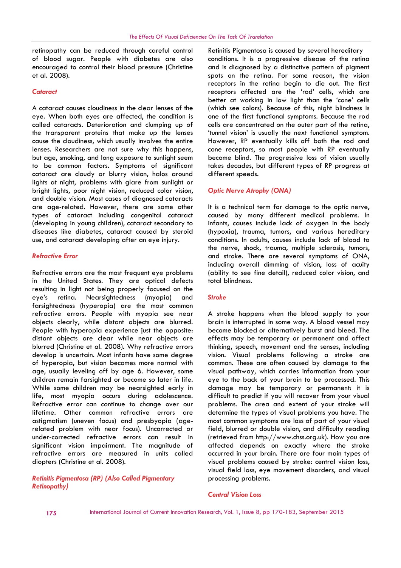# retinopathy can be reduced through careful control of blood sugar. People with diabetes are also encouraged to control their blood pressure (Christine et al. 2008).

# *Cataract*

A cataract causes cloudiness in the clear lenses of the eye. When both eyes are affected, the condition is called cataracts. Deterioration and clumping up of the transparent proteins that make up the lenses cause the cloudiness, which usually involves the entire lenses. Researchers are not sure why this happens, but age, smoking, and long exposure to sunlight seem to be common factors. Symptoms of significant cataract are cloudy or blurry vision, halos around lights at night, problems with glare from sunlight or bright lights, poor night vision, reduced color vision, and double vision. Most cases of diagnosed cataracts are age-related. However, there are some other types of cataract including congenital cataract (developing in young children), cataract secondary to diseases like diabetes, cataract caused by steroid use, and cataract developing after an eye injury.

#### *Refractive Error*

Refractive errors are the most frequent eye problems in the United States. They are optical defects resulting in light not being properly focused on the eye's retina. Nearsightedness (myopia) and farsightedness (hyperopia) are the most common refractive errors. People with myopia see near objects clearly, while distant objects are blurred. People with hyperopia experience just the opposite: distant objects are clear while near objects are blurred (Christine et al. 2008). Why refractive errors develop is uncertain. Most infants have some degree of hyperopia, but vision becomes more normal with age, usually leveling off by age 6. However, some children remain farsighted or become so later in life. While some children may be nearsighted early in life, most myopia occurs during adolescence. Refractive error can continue to change over our lifetime. Other common refractive errors are astigmatism (uneven focus) and presbyopia (agerelated problem with near focus). Uncorrected or under-corrected refractive errors can result in significant vision impairment. The magnitude of refractive errors are measured in units called diopters (Christine et al. 2008).

*Retinitis Pigmentosa (RP) (Also Called Pigmentary Retinopathy)*

Retinitis Pigmentosa is caused by several hereditary conditions. It is a progressive disease of the retina and is diagnosed by a distinctive pattern of pigment spots on the retina. For some reason, the vision receptors in the retina begin to die out. The first receptors affected are the 'rod' cells, which are better at working in low light than the 'cone' cells (which see colors). Because of this, night blindness is one of the first functional symptoms. Because the rod cells are concentrated on the outer part of the retina, 'tunnel vision' is usually the next functional symptom. However, RP eventually kills off both the rod and cone receptors, so most people with RP eventually become blind. The progressive loss of vision usually takes decades, but different types of RP progress at different speeds.

# *Optic Nerve Atrophy (ONA)*

It is a technical term for damage to the optic nerve, caused by many different medical problems. In infants, causes include lack of oxygen in the body (hypoxia), trauma, tumors, and various hereditary conditions. In adults, causes include lack of blood to the nerve, shock, trauma, multiple sclerosis, tumors, and stroke. There are several symptoms of ONA, including overall dimming of vision, loss of acuity (ability to see fine detail), reduced color vision, and total blindness.

#### *Stroke*

A stroke happens when the blood supply to your brain is interrupted in some way. A blood vessel may become blocked or alternatively burst and bleed. The effects may be temporary or permanent and affect thinking, speech, movement and the senses, including vision. Visual problems following a stroke are common. These are often caused by damage to the visual pathway, which carries information from your eye to the back of your brain to be processed. This damage may be temporary or permanent: it is difficult to predict if you will recover from your visual problems. The area and extent of your stroke will determine the types of visual problems you have. The most common symptoms are loss of part of your visual field, blurred or double vision, and difficulty reading (retrieved from http://www.chss.org.uk). How you are affected depends on exactly where the stroke occurred in your brain. There are four main types of visual problems caused by stroke: central vision loss, visual field loss, eye movement disorders, and visual processing problems.

#### *Central Vision Loss*

175 International Journal of Current Innovation Research, Vol. 1, Issue 8, pp 170-183, September 2015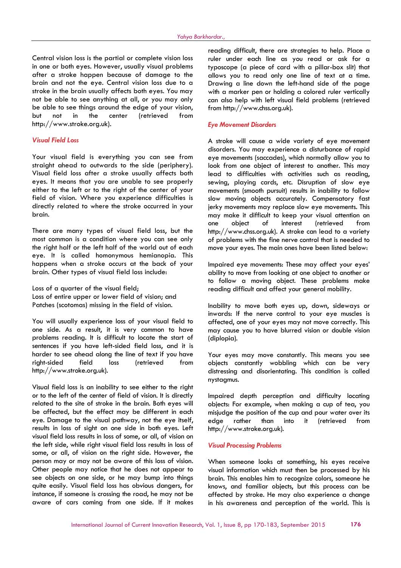Central vision loss is the partial or complete vision loss in one or both eyes. However, usually visual problems after a stroke happen because of damage to the brain and not the eye. Central vision loss due to a stroke in the brain usually affects both eyes. You may not be able to see anything at all, or you may only be able to see things around the edge of your vision, but not in the center (retrieved from http://www.stroke.org.uk).

# *Visual Field Loss*

Your visual field is everything you can see from straight ahead to outwards to the side (periphery). Visual field loss after a stroke usually affects both eyes. It means that you are unable to see properly either to the left or to the right of the center of your field of vision. Where you experience difficulties is directly related to where the stroke occurred in your brain.

There are many types of visual field loss, but the most common is a condition where you can see only the right half or the left half of the world out of each eye. It is called homonymous hemianopia. This happens when a stroke occurs at the back of your brain. Other types of visual field loss include:

Loss of a quarter of the visual field; Loss of entire upper or lower field of vision; and Patches (scotomas) missing in the field of vision.

You will usually experience loss of your visual field to one side. As a result, it is very common to have problems reading. It is difficult to locate the start of sentences if you have left-sided field loss, and it is harder to see ahead along the line of text if you have right-sided field loss (retrieved from http://www.stroke.org.uk).

Visual field loss is an inability to see either to the right or to the left of the center of field of vision. It is directly related to the site of stroke in the brain. Both eyes will be affected, but the effect may be different in each eye. Damage to the visual pathway, not the eye itself, results in loss of sight on one side in both eyes. Left visual field loss results in loss of some, or all, of vision on the left side, while right visual field loss results in loss of some, or all, of vision on the right side. However, the person may or may not be aware of this loss of vision. Other people may notice that he does not appear to see objects on one side, or he may bump into things quite easily. Visual field loss has obvious dangers, for instance, if someone is crossing the road, he may not be aware of cars coming from one side. If it makes

reading difficult, there are strategies to help. Place a ruler under each line as you read or ask for a typoscope (a piece of card with a pillar-box slit) that allows you to read only one line of text at a time. Drawing a line down the left-hand side of the page with a marker pen or holding a colored ruler vertically can also help with left visual field problems (retrieved from http://www.chss.org.uk).

#### *Eye Movement Disorders*

A stroke will cause a wide variety of eye movement disorders. You may experience a disturbance of rapid eye movements (saccades), which normally allow you to look from one object of interest to another. This may lead to difficulties with activities such as reading, sewing, playing cards, etc. Disruption of slow eye movements (smooth pursuit) results in inability to follow slow moving objects accurately. Compensatory fast jerky movements may replace slow eye movements. This may make it difficult to keep your visual attention on one object of interest (retrieved from http://www.chss.org.uk). A stroke can lead to a variety of problems with the fine nerve control that is needed to move your eyes. The main ones have been listed below:

Impaired eye movements: These may affect your eyes' ability to move from looking at one object to another or to follow a moving object. These problems make reading difficult and affect your general mobility.

Inability to move both eyes up, down, sideways or inwards: If the nerve control to your eye muscles is affected, one of your eyes may not move correctly. This may cause you to have blurred vision or double vision (diplopia).

Your eyes may move constantly. This means you see objects constantly wobbling which can be very distressing and disorientating. This condition is called nystagmus.

Impaired depth perception and difficulty locating objects: For example, when making a cup of tea, you misjudge the position of the cup and pour water over its edge rather than into it (retrieved from http://www.stroke.org.uk).

#### *Visual Processing Problems*

When someone looks at something, his eyes receive visual information which must then be processed by his brain. This enables him to recognize colors, someone he knows, and familiar objects, but this process can be affected by stroke. He may also experience a change in his awareness and perception of the world. This is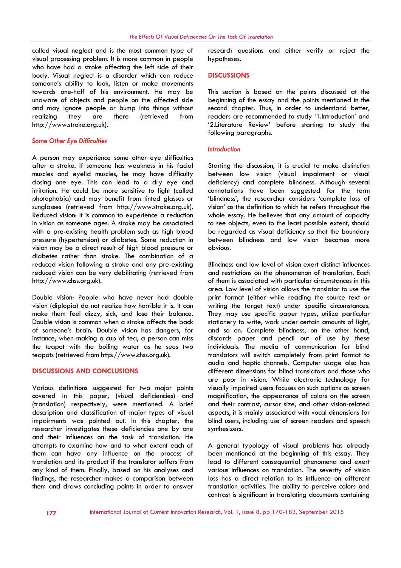called visual neglect and is the most common type of visual processing problem. It is more common in people who have had a stroke affecting the left side of their body. Visual neglect is a disorder which can reduce someone's ability to look, listen or make movements towards one-half of his environment. He may be unaware of objects and people on the affected side and may ignore people or bump into things without realizing they are there (retrieved from http://www.stroke.org.uk).

#### *Some Other Eye Difficulties*

A person may experience some other eye difficulties after a stroke. If someone has weakness in his facial muscles and eyelid muscles, he may have difficulty closing one eye. This can lead to a dry eye and irritation. He could be more sensitive to light (called photophobia) and may benefit from tinted glasses or sunglasses (retrieved from http://www.stroke.org.uk). Reduced vision: It is common to experience a reduction in vision as someone ages. A stroke may be associated with a pre-existing health problem such as high blood pressure (hypertension) or diabetes. Some reduction in vision may be a direct result of high blood pressure or diabetes rather than stroke. The combination of a reduced vision following a stroke and any pre-existing reduced vision can be very debilitating (retrieved from http://www.chss.org.uk).

Double vision: People who have never had double vision (diplopia) do not realize how horrible it is. It can make them feel dizzy, sick, and lose their balance. Double vision is common when a stroke affects the back of someone's brain. Double vision has dangers, for instance, when making a cup of tea, a person can miss the teapot with the boiling water as he sees two teapots (retrieved from http://www.chss.org.uk).

#### **DISCUSSIONS AND CONCLUSIONS**

Various definitions suggested for two major points covered in this paper, (visual deficiencies) and (translation) respectively, were mentioned. A brief description and classification of major types of visual impairments was pointed out. In this chapter, the researcher investigates these deficiencies one by one and their influences on the task of translation. He attempts to examine how and to what extent each of them can have any influence on the process of translation and its product if the translator suffers from any kind of them. Finally, based on his analyses and findings, the researcher makes a comparison between them and draws concluding points in order to answer

research questions and either verify or reject the hypotheses.

#### **DISCUSSIONS**

This section is based on the points discussed at the beginning of the essay and the points mentioned in the second chapter. Thus, in order to understand better, readers are recommended to study '1.Introduction' and '2.Literature Review' before starting to study the following paragraphs.

#### *Introduction*

Starting the discussion, it is crucial to make distinction between low vision (visual impairment or visual deficiency) and complete blindness. Although several connotations have been suggested for the term 'blindness', the researcher considers 'complete loss of vision' as the definition to which he refers throughout the whole essay. He believes that any amount of capacity to see objects, even to the least possible extent, should be regarded as visual deficiency so that the boundary between blindness and low vision becomes more obvious.

Blindness and low level of vision exert distinct influences and restrictions on the phenomenon of translation. Each of them is associated with particular circumstances in this area. Low level of vision allows the translator to use the print format (either while reading the source text or writing the target text) under specific circumstances. They may use specific paper types, utilize particular stationery to write, work under certain amounts of light, and so on. Complete blindness, on the other hand, discards paper and pencil out of use by these individuals. The media of communication for blind translators will switch completely from print format to audio and haptic channels. Computer usage also has different dimensions for blind translators and those who are poor in vision. While electronic technology for visually impaired users focuses on such options as screen magnification, the appearance of colors on the screen and their contrast, cursor size, and other vision-related aspects, it is mainly associated with vocal dimensions for blind users, including use of screen readers and speech synthesizers.

A general typology of visual problems has already been mentioned at the beginning of this essay. They lead to different consequential phenomena and exert various influences on translation. The severity of vision loss has a direct relation to its influence on different translation activities. The ability to perceive colors and contrast is significant in translating documents containing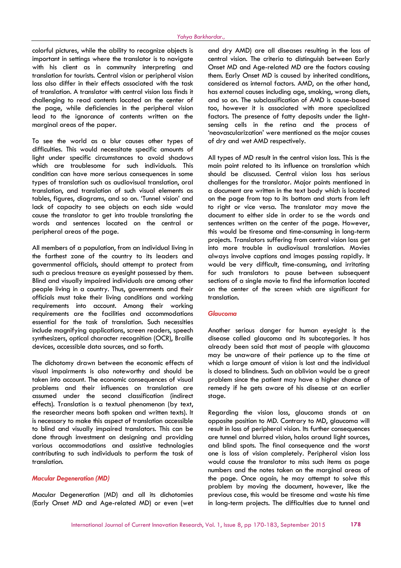colorful pictures, while the ability to recognize objects is important in settings where the translator is to navigate with his client as in community interpreting and translation for tourists. Central vision or peripheral vision loss also differ in their effects associated with the task of translation. A translator with central vision loss finds it challenging to read contents located on the center of the page, while deficiencies in the peripheral vision lead to the ignorance of contents written on the marginal areas of the paper.

To see the world as a blur causes other types of difficulties. This would necessitate specific amounts of light under specific circumstances to avoid shadows which are troublesome for such individuals. This condition can have more serious consequences in some types of translation such as audiovisual translation, oral translation, and translation of such visual elements as tables, figures, diagrams, and so on. 'Tunnel vision' and lack of capacity to see objects on each side would cause the translator to get into trouble translating the words and sentences located on the central or peripheral areas of the page.

All members of a population, from an individual living in the farthest zone of the country to its leaders and governmental officials, should attempt to protect from such a precious treasure as eyesight possessed by them. Blind and visually impaired individuals are among other people living in a country. Thus, governments and their officials must take their living conditions and working requirements into account. Among their working requirements are the facilities and accommodations essential for the task of translation. Such necessities include magnifying applications, screen readers, speech synthesizers, optical character recognition (OCR), Braille devices, accessible data sources, and so forth.

The dichotomy drawn between the economic effects of visual impairments is also noteworthy and should be taken into account. The economic consequences of visual problems and their influences on translation are assumed under the second classification (indirect effects). Translation is a textual phenomenon (by text, the researcher means both spoken and written texts). It is necessary to make this aspect of translation accessible to blind and visually impaired translators. This can be done through investment on designing and providing various accommodations and assistive technologies contributing to such individuals to perform the task of translation.

#### *Macular Degeneration (MD)*

Macular Degeneration (MD) and all its dichotomies (Early Onset MD and Age-related MD) or even (wet

and dry AMD) are all diseases resulting in the loss of central vision. The criteria to distinguish between Early Onset MD and Age-related MD are the factors causing them. Early Onset MD is caused by inherited conditions, considered as internal factors. AMD, on the other hand, has external causes including age, smoking, wrong diets, and so on. The subclassification of AMD is cause-based too, however it is associated with more specialized factors. The presence of fatty deposits under the lightsensing cells in the retina and the process of 'neovascularization' were mentioned as the major causes of dry and wet AMD respectively.

All types of MD result in the central vision loss. This is the main point related to its influence on translation which should be discussed. Central vision loss has serious challenges for the translator. Major points mentioned in a document are written in the text body which is located on the page from top to its bottom and starts from left to right or vice versa. The translator may move the document to either side in order to se the words and sentences written on the center of the page. However, this would be tiresome and time-consuming in long-term projects. Translators suffering from central vision loss get into more trouble in audiovisual translation. Movies always involve captions and images passing rapidly. It would be very difficult, time-consuming, and irritating for such translators to pause between subsequent sections of a single movie to find the information located on the center of the screen which are significant for translation.

# *Glaucoma*

Another serious danger for human eyesight is the disease called glaucoma and its subcategories. It has already been said that most of people with glaucoma may be unaware of their patience up to the time at which a large amount of vision is lost and the individual is closed to blindness. Such an oblivion would be a great problem since the patient may have a higher chance of remedy if he gets aware of his disease at an earlier stage.

Regarding the vision loss, glaucoma stands at an opposite position to MD. Contrary to MD, glaucoma will result in loss of peripheral vision. Its further consequences are tunnel and blurred vision, halos around light sources, and blind spots. The final consequence and the worst one is loss of vision completely. Peripheral vision loss would cause the translator to miss such items as page numbers and the notes taken on the marginal areas of the page. Once again, he may attempt to solve this problem by moving the document, however, like the previous case, this would be tiresome and waste his time in long-term projects. The difficulties due to tunnel and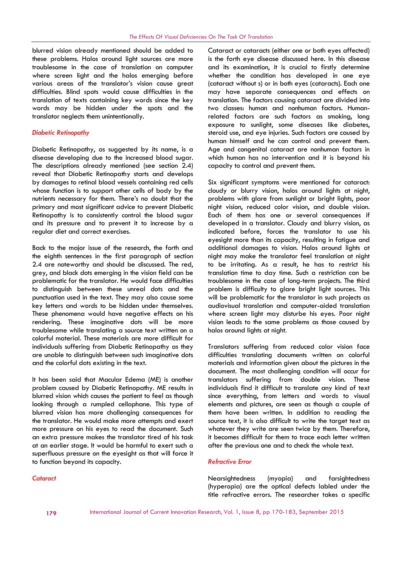blurred vision already mentioned should be added to these problems. Halos around light sources are more troublesome in the case of translation on computer where screen light and the halos emerging before various areas of the translator's vision cause great difficulties. Blind spots would cause difficulties in the translation of texts containing key words since the key words may be hidden under the spots and the translator neglects them unintentionally.

# *Diabetic Retinopathy*

Diabetic Retinopathy, as suggested by its name, is a disease developing due to the increased blood sugar. The descriptions already mentioned (see section 2.4) reveal that Diabetic Retinopathy starts and develops by damages to retinal blood vessels containing red cells whose function is to support other cells of body by the nutrients necessary for them. There's no doubt that the primary and most significant advice to prevent Diabetic Retinopathy is to consistently control the blood sugar and its pressure and to prevent it to increase by a regular diet and correct exercises.

Back to the major issue of the research, the forth and the eighth sentences in the first paragraph of section 2.4 are noteworthy and should be discussed. The red, grey, and black dots emerging in the vision field can be problematic for the translator. He would face difficulties to distinguish between these unreal dots and the punctuation used in the text. They may also cause some key letters and words to be hidden under themselves. These phenomena would have negative effects on his rendering. These imaginative dots will be more troublesome while translating a source text written on a colorful material. These materials are more difficult for individuals suffering from Diabetic Retinopathy as they are unable to distinguish between such imaginative dots and the colorful dots existing in the text.

It has been said that Macular Edema (ME) is another problem caused by Diabetic Retinopathy. ME results in blurred vision which causes the patient to feel as though looking through a rumpled cellophane. This type of blurred vision has more challenging consequences for the translator. He would make more attempts and exert more pressure on his eyes to read the document. Such an extra pressure makes the translator tired of his task at an earlier stage. It would be harmful to exert such a superfluous pressure on the eyesight as that will force it to function beyond its capacity.

# Cataract or cataracts (either one or both eyes affected) is the forth eye disease discussed here. In this disease and its examination, it is crucial to firstly determine whether the condition has developed in one eye (cataract without s) or in both eyes (cataracts). Each one may have separate consequences and effects on translation. The factors causing cataract are divided into two classes: human and nonhuman factors. Humanrelated factors are such factors as smoking, long exposure to sunlight, some diseases like diabetes, steroid use, and eye injuries. Such factors are caused by human himself and he can control and prevent them. Age and congenital cataract are nonhuman factors in which human has no intervention and it is beyond his capacity to control and prevent them.

Six significant symptoms were mentioned for cataract: cloudy or blurry vision, halos around lights at night, problems with glare from sunlight or bright lights, poor night vision, reduced color vision, and double vision. Each of them has one or several consequences if developed in a translator. Cloudy and blurry vision, as indicated before, forces the translator to use his eyesight more than its capacity, resulting in fatigue and additional damages to vision. Halos around lights at night may make the translator feel translation at night to be irritating. As a result, he has to restrict his translation time to day time. Such a restriction can be troublesome in the case of long-term projects. The third problem is difficulty to glare bright light sources. This will be problematic for the translator in such projects as audiovisual translation and computer-aided translation where screen light may disturbe his eyes. Poor night vision leads to the same problems as those caused by halos around lights at night.

Translators suffering from reduced color vision face difficulties translating documents written on colorful materials and information given about the pictures in the document. The most challenging condition will occur for translators suffering from double vision. These individuals find it difficult to translate any kind of text since everything, from letters and words to visual elements and pictures, are seen as though a couple of them have been written. In addition to reading the source text, it is also difficult to write the target text as whatever they write are seen twice by them. Therefore, it becomes difficult for them to trace each letter written after the previous one and to check the whole text.

#### *Refractive Error*

Nearsightedness (myopia) and farsightedness (hyperopia) are the optical defects labled under the title refractive errors. The researcher takes a specific

#### *Cataract*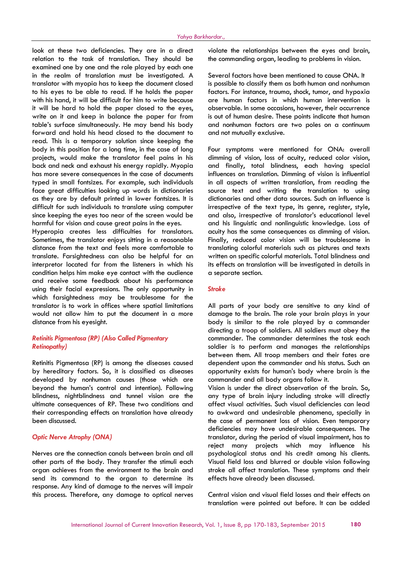look at these two deficiencies. They are in a direct relation to the task of translation. They should be examined one by one and the role played by each one in the realm of translation must be investigated. A translator with myopia has to keep the document closed to his eyes to be able to read. If he holds the paper with his hand, it will be difficult for him to write because it will be hard to hold the paper closed to the eyes, write on it and keep in balance the paper far from table's surface simultaneously. He may bend his body forward and hold his head closed to the document to read. This is a temporary solution since keeping the body in this position for a long time, in the case of long projects, would make the translator feel pains in his back and neck and exhaust his energy rapidly. Myopia has more severe consequences in the case of documents typed in small fontsizes. For example, such individuals face great difficulties looking up words in dictionaries as they are by default printed in lower fontsizes. It is difficult for such individuals to translate using computer since keeping the eyes too near of the screen would be harmful for vision and cause great pains in the eyes. Hyperopia creates less difficulties for translators.

Sometimes, the translator enjoys sitting in a reasonable distance from the text and feels more comfortable to translate. Farsightedness can also be helpful for an interpretor located far from the listeners in which his condition helps him make eye contact with the audience and receive some feedback about his performance using their facial expressions. The only opportunity in which farsightedness may be troublesome for the translator is to work in offices where spatial limitations would not allow him to put the document in a more distance from his eyesight.

# *Retinitis Pigmentosa (RP) (Also Called Pigmentary Retinopathy)*

Retinitis Pigmentosa (RP) is among the diseases caused by hereditary factors. So, it is classified as diseases developed by nonhuman causes (those which are beyond the human's control and intention). Following blindness, nightblindness and tunnel vision are the ultimate consequences of RP. These two conditions and their corresponding effects on translation have already been discussed.

#### *Optic Nerve Atrophy (ONA)*

Nerves are the connection canals between brain and all other parts of the body. They transfer the stimuli each organ achieves from the environment to the brain and send its command to the organ to determine its response. Any kind of damage to the nerves will impair this process. Therefore, any damage to optical nerves

violate the relationships between the eyes and brain, the commanding organ, leading to problems in vision.

Several factors have been mentioned to cause ONA. It is possible to classify them as both human and nonhuman factors. For instance, trauma, shock, tumor, and hypoxia are human factors in which human intervention is observable. In some occasions, however, their occurrence is out of human desire. These points indicate that human and nonhuman factors are two poles on a continuum and not mutually exclusive.

Four symptoms were mentioned for ONA: overall dimming of vision, loss of acuity, reduced color vision, and finally, total blindness, each having special influences on translation. Dimming of vision is influential in all aspects of written translation, from reading the source text and writing the translation to using dictionaries and other data sources. Such an influence is irrespective of the text type, its genre, register, style, and also, irrespective of translator's educational level and his linguistic and nonlinguistic knowledge. Loss of acuity has the same consequences as dimming of vision. Finally, reduced color vision will be troublesome in translating colorful materials such as pictures and texts written on specific colorful materials. Total blindness and its effects on translation will be investigated in details in a separate section.

#### *Stroke*

All parts of your body are sensitive to any kind of damage to the brain. The role your brain plays in your body is similar to the role played by a commander directing a troop of soldiers. All soldiers must obey the commander. The commander determines the task each soldier is to perform and manages the relationships between them. All troop members and their fates are dependent upon the commander and his status. Such an opportunity exists for human's body where brain is the commander and all body organs follow it.

Vision is under the direct observation of the brain. So, any type of brain injury including stroke will directly affect visual activities. Such visual deficiencies can lead to awkward and undesirable phenomena, specially in the case of permanent loss of vision. Even temporary deficiencies may have undesirable consequences. The translator, during the period of visual impairment, has to reject many projects which may influence his psychological status and his credit among his clients. Visual field loss and blurred or double vision following stroke all affect translation. These symptoms and their effects have already been discussed.

Central vision and visual field losses and their effects on translation were pointed out before. It can be added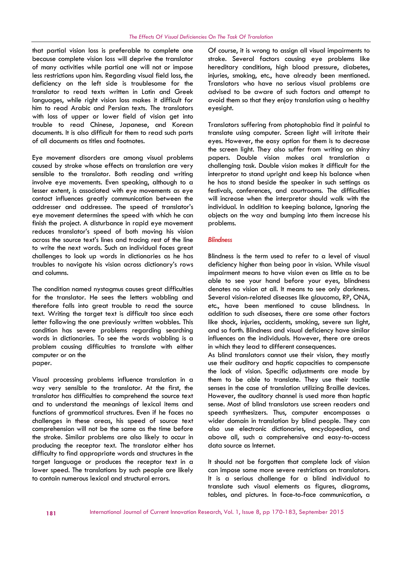that partial vision loss is preferable to complete one because complete vision loss will deprive the translator of many activities while partial one will not or impose less restrictions upon him. Regarding visual field loss, the deficiency on the left side is troublesome for the translator to read texts written in Latin and Greek languages, while right vision loss makes it difficult for him to read Arabic and Persian texts. The translators with loss of upper or lower field of vision get into trouble to read Chinese, Japanese, and Korean documents. It is also difficult for them to read such parts of all documents as titles and footnotes.

Eye movement disorders are among visual problems caused by stroke whose effects on translation are very sensible to the translator. Both reading and writing involve eye movements. Even speaking, although to a lesser extent, is associated with eye movements as eye contact influences greatly communication between the addresser and addressee. The speed of translator's eye movement determines the speed with which he can finish the project. A disturbance in rapid eye movement reduces translator's speed of both moving his vision across the source text's lines and tracing rest of the line to write the next words. Such an individual faces great challenges to look up words in dictionaries as he has troubles to navigate his vision across dictionary's rows and columns.

The condition named nystagmus causes great difficulties for the translator. He sees the letters wobbling and therefore falls into great trouble to read the source text. Writing the target text is difficult too since each letter following the one previously written wobbles. This condition has severe problems regarding searching words in dictionaries. To see the words wobbling is a problem causing difficulties to translate with either computer or on the paper.

Visual processing problems influence translation in a way very sensible to the translator. At the first, the translator has difficulties to comprehend the source text and to understand the meanings of lexical items and functions of grammatical structures. Even if he faces no challenges in these areas, his speed of source text comprehension will not be the same as the time before the stroke. Similar problems are also likely to occur in producing the receptor text. The translator either has difficulty to find appropriate words and structures in the target language or produces the receptor text in a lower speed. The translations by such people are likely to contain numerous lexical and structural errors.

Of course, it is wrong to assign all visual impairments to stroke. Several factors causing eye problems like hereditary conditions, high blood pressure, diabetes, injuries, smoking, etc., have already been mentioned. Translators who have no serious visual problems are advised to be aware of such factors and attempt to avoid them so that they enjoy translation using a healthy eyesight.

Translators suffering from photophobia find it painful to translate using computer. Screen light will irritate their eyes. However, the easy option for them is to decrease the screen light. They also suffer from writing on shiny papers. Double vision makes oral translation a challenging task. Double vision makes it difficult for the interpretor to stand upright and keep his balance when he has to stand beside the speaker in such settings as festivals, conferences, and courtrooms. The difficulties will increase when the interpretor should walk with the individual. In addition to keeping balance, Ignoring the objects on the way and bumping into them increase his problems.

#### *Blindness*

Blindness is the term used to refer to a level of visual deficiency higher than being poor in vision. While visual impairment means to have vision even as little as to be able to see your hand before your eyes, blindness denotes no vision at all. It means to see only darkness. Several vision-related diseases like glaucoma, RP, ONA, etc., have been mentioned to cause blindness. In addition to such diseases, there are some other factors like shock, injuries, accidents, smoking, severe sun light, and so forth. Blindness and visual deficiency have similar influences on the individuals. However, there are areas in which they lead to different consequences.

As blind translators cannot use their vision, they mostly use their auditory and haptic capacities to compensate the lack of vision. Specific adjustments are made by them to be able to translate. They use their tactile senses in the case of translation utilizing Braille devices. However, the auditory channel is used more than haptic sense. Most of blind translators use screen readers and speech synthesizers. Thus, computer encompasses a wider domain in translation by blind people. They can also use electronic dictionaries, encyclopedias, and above all, such a comprehensive and easy-to-access data source as Internet.

It should not be forgotten that complete lack of vision can impose some more severe restrictions on translators. It is a serious challenge for a blind individual to translate such visual elements as figures, diagrams, tables, and pictures. In face-to-face communication, a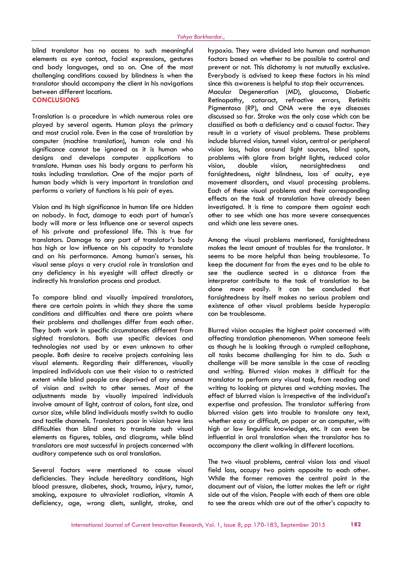blind translator has no access to such meaningful elements as eye contact, facial expressions, gestures and body languages, and so on. One of the most challenging conditions caused by blindness is when the translator should accompany the client in his navigations between different locations. **CONCLUSIONS**

Translation is a procedure in which numerous roles are played by several agents. Human plays the primary and most crucial role. Even in the case of translation by computer (machine translation), human role and his significance cannot be ignored as it is human who designs and develops computer applications to translate. Human uses his body organs to perform his tasks including translation. One of the major parts of human body which is very important in translation and performs a variety of functions is his pair of eyes.

Vision and its high significance in human life are hidden on nobody. In fact, damage to each part of human's body will more or less influence one or several aspects of his private and professional life. This is true for translators. Damage to any part of translator's body has high or low influence on his capacity to translate and on his performance. Among human's senses, his visual sense plays a very crucial role in translation and any deficiency in his eyesight will affect directly or indirectly his translation process and product.

To compare blind and visually impaired translators, there are certain points in which they share the same conditions and difficulties and there are points where their problems and challenges differ from each other. They both work in specific circumstances different from sighted translators. Both use specific devices and technologies not used by or even unknown to other people. Both desire to receive projects containing less visual elements. Regarding their differences, visually impaired individuals can use their vision to a restricted extent while blind people are deprived of any amount of vision and switch to other senses. Most of the adjustments made by visually impaired individuals involve amount of light, contrast of colors, font size, and cursor size, while blind individuals mostly switch to audio and tactile channels. Translators poor in vision have less difficulties than blind ones to translate such visual elements as figures, tables, and diagrams, while blind translators are most successful in projects concerned with auditory competence such as oral translation.

Several factors were mentioned to cause visual deficiencies. They include hereditary conditions, high blood pressure, diabetes, shock, trauma, injury, tumor, smoking, exposure to ultraviolet radiation, vitamin A deficiency, age, wrong diets, sunlight, stroke, and hypoxia. They were divided into human and nonhuman factors based on whether to be possible to control and prevent or not. This dichotomy is not mutually exclusive. Everybody is advised to keep these factors in his mind since this awareness is helpful to stop their occurrences. Macular Degeneration (MD), glaucoma, Diabetic Retinopathy, cataract, refractive errors, Retinitis Pigmentosa (RP), and ONA were the eye diseases discussed so far. Stroke was the only case which can be classified as both a deficiency and a causal factor. They result in a variety of visual problems. These problems include blurred vision, tunnel vision, central or peripheral vision loss, halos around light sources, blind spots, problems with glare from bright lights, reduced color double vision, nearsightedness and farsightedness, night blindness, loss of acuity, eye movement disorders, and visual processing problems. Each of these visual problems and their corresponding effects on the task of translation have already been investigated. It is time to compare them against each other to see which one has more severe consequences and which one less severe ones.

Among the visual problems mentioned, farsightedness makes the least amount of troubles for the translator. It seems to be more helpful than being troublesome. To keep the document far from the eyes and to be able to see the audience seated in a distance from the interpretor contribute to the task of translation to be done more easily. It can be concluded that farsightedness by itself makes no serious problem and existence of other visual problems beside hyperopia can be troublesome.

Blurred vision occupies the highest point concerned with affecting translation phenomenon. When someone feels as though he is looking through a rumpled cellophane, all tasks become challenging for him to do. Such a challenge will be more sensible in the case of reading and writing. Blurred vision makes it difficult for the translator to perform any visual task, from reading and writing to looking at pictures and watching movies. The effect of blurred vision is irrespective of the individual's expertise and profession. The translator suffering from blurred vision gets into trouble to translate any text, whether easy or difficult, on paper or on computer, with high or low linguistic knowledge, etc. It can even be influential in oral translation when the translator has to accompany the client walking in different locations.

The two visual problems, central vision loss and visual field loss, occupy two points opposite to each other. While the former removes the central point in the document out of vision, the latter makes the left or right side out of the vision. People with each of them are able to see the areas which are out of the other's capacity to